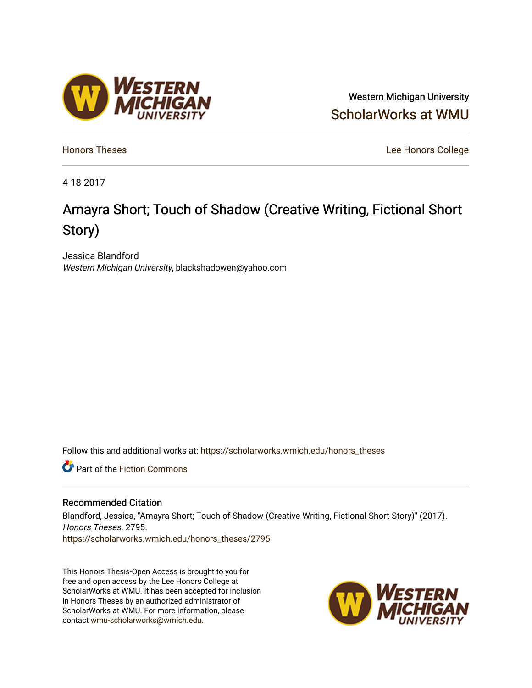## Western Michigan University [ScholarWorks at WMU](https://scholarworks.wmich.edu/)

[Honors Theses](https://scholarworks.wmich.edu/honors_theses) [Lee Honors College](https://scholarworks.wmich.edu/honors) 

4-18-2017

# Amayra Short; Touch of Shadow (Creative Writing, Fictional Short Story)

Jessica Blandford Western Michigan University, blackshadowen@yahoo.com

Follow this and additional works at: [https://scholarworks.wmich.edu/honors\\_theses](https://scholarworks.wmich.edu/honors_theses?utm_source=scholarworks.wmich.edu%2Fhonors_theses%2F2795&utm_medium=PDF&utm_campaign=PDFCoverPages)

**C** Part of the Fiction Commons

### Recommended Citation

Blandford, Jessica, "Amayra Short; Touch of Shadow (Creative Writing, Fictional Short Story)" (2017). Honors Theses. 2795. [https://scholarworks.wmich.edu/honors\\_theses/2795](https://scholarworks.wmich.edu/honors_theses/2795?utm_source=scholarworks.wmich.edu%2Fhonors_theses%2F2795&utm_medium=PDF&utm_campaign=PDFCoverPages) 

This Honors Thesis-Open Access is brought to you for free and open access by the Lee Honors College at ScholarWorks at WMU. It has been accepted for inclusion in Honors Theses by an authorized administrator of ScholarWorks at WMU. For more information, please contact [wmu-scholarworks@wmich.edu](mailto:wmu-scholarworks@wmich.edu).



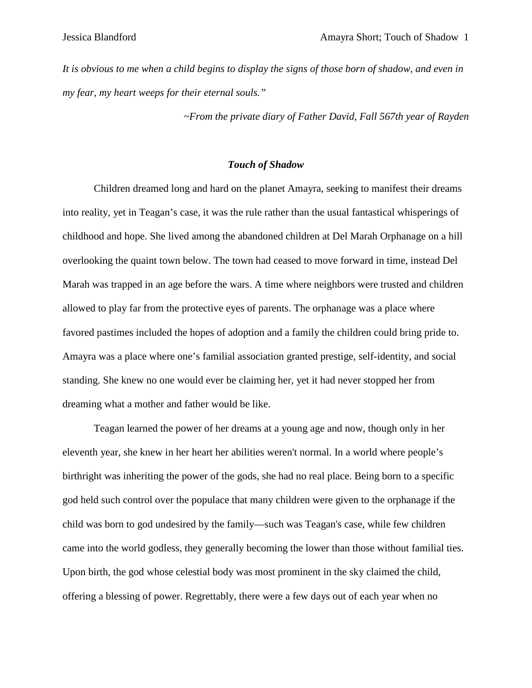*It is obvious to me when a child begins to display the signs of those born of shadow, and even in my fear, my heart weeps for their eternal souls."*

*~From the private diary of Father David, Fall 567th year of Rayden*

### *Touch of Shadow*

Children dreamed long and hard on the planet Amayra, seeking to manifest their dreams into reality, yet in Teagan's case, it was the rule rather than the usual fantastical whisperings of childhood and hope. She lived among the abandoned children at Del Marah Orphanage on a hill overlooking the quaint town below. The town had ceased to move forward in time, instead Del Marah was trapped in an age before the wars. A time where neighbors were trusted and children allowed to play far from the protective eyes of parents. The orphanage was a place where favored pastimes included the hopes of adoption and a family the children could bring pride to. Amayra was a place where one's familial association granted prestige, self-identity, and social standing. She knew no one would ever be claiming her, yet it had never stopped her from dreaming what a mother and father would be like.

Teagan learned the power of her dreams at a young age and now, though only in her eleventh year, she knew in her heart her abilities weren't normal. In a world where people's birthright was inheriting the power of the gods, she had no real place. Being born to a specific god held such control over the populace that many children were given to the orphanage if the child was born to god undesired by the family—such was Teagan's case, while few children came into the world godless, they generally becoming the lower than those without familial ties. Upon birth, the god whose celestial body was most prominent in the sky claimed the child, offering a blessing of power. Regrettably, there were a few days out of each year when no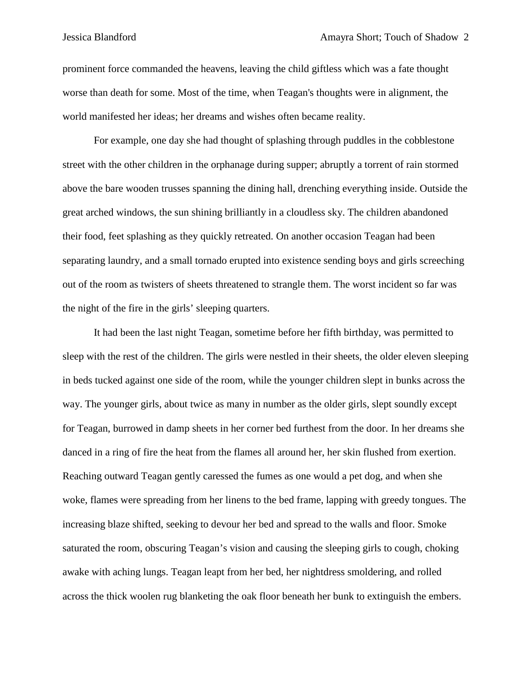prominent force commanded the heavens, leaving the child giftless which was a fate thought worse than death for some. Most of the time, when Teagan's thoughts were in alignment, the world manifested her ideas; her dreams and wishes often became reality.

For example, one day she had thought of splashing through puddles in the cobblestone street with the other children in the orphanage during supper; abruptly a torrent of rain stormed above the bare wooden trusses spanning the dining hall, drenching everything inside. Outside the great arched windows, the sun shining brilliantly in a cloudless sky. The children abandoned their food, feet splashing as they quickly retreated. On another occasion Teagan had been separating laundry, and a small tornado erupted into existence sending boys and girls screeching out of the room as twisters of sheets threatened to strangle them. The worst incident so far was the night of the fire in the girls' sleeping quarters.

It had been the last night Teagan, sometime before her fifth birthday, was permitted to sleep with the rest of the children. The girls were nestled in their sheets, the older eleven sleeping in beds tucked against one side of the room, while the younger children slept in bunks across the way. The younger girls, about twice as many in number as the older girls, slept soundly except for Teagan, burrowed in damp sheets in her corner bed furthest from the door. In her dreams she danced in a ring of fire the heat from the flames all around her, her skin flushed from exertion. Reaching outward Teagan gently caressed the fumes as one would a pet dog, and when she woke, flames were spreading from her linens to the bed frame, lapping with greedy tongues. The increasing blaze shifted, seeking to devour her bed and spread to the walls and floor. Smoke saturated the room, obscuring Teagan's vision and causing the sleeping girls to cough, choking awake with aching lungs. Teagan leapt from her bed, her nightdress smoldering, and rolled across the thick woolen rug blanketing the oak floor beneath her bunk to extinguish the embers.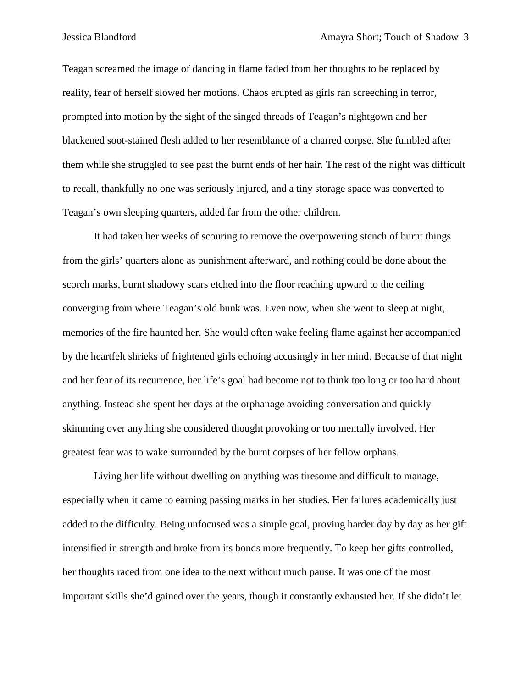Teagan screamed the image of dancing in flame faded from her thoughts to be replaced by reality, fear of herself slowed her motions. Chaos erupted as girls ran screeching in terror, prompted into motion by the sight of the singed threads of Teagan's nightgown and her blackened soot-stained flesh added to her resemblance of a charred corpse. She fumbled after them while she struggled to see past the burnt ends of her hair. The rest of the night was difficult to recall, thankfully no one was seriously injured, and a tiny storage space was converted to Teagan's own sleeping quarters, added far from the other children.

It had taken her weeks of scouring to remove the overpowering stench of burnt things from the girls' quarters alone as punishment afterward, and nothing could be done about the scorch marks, burnt shadowy scars etched into the floor reaching upward to the ceiling converging from where Teagan's old bunk was. Even now, when she went to sleep at night, memories of the fire haunted her. She would often wake feeling flame against her accompanied by the heartfelt shrieks of frightened girls echoing accusingly in her mind. Because of that night and her fear of its recurrence, her life's goal had become not to think too long or too hard about anything. Instead she spent her days at the orphanage avoiding conversation and quickly skimming over anything she considered thought provoking or too mentally involved. Her greatest fear was to wake surrounded by the burnt corpses of her fellow orphans.

Living her life without dwelling on anything was tiresome and difficult to manage, especially when it came to earning passing marks in her studies. Her failures academically just added to the difficulty. Being unfocused was a simple goal, proving harder day by day as her gift intensified in strength and broke from its bonds more frequently. To keep her gifts controlled, her thoughts raced from one idea to the next without much pause. It was one of the most important skills she'd gained over the years, though it constantly exhausted her. If she didn't let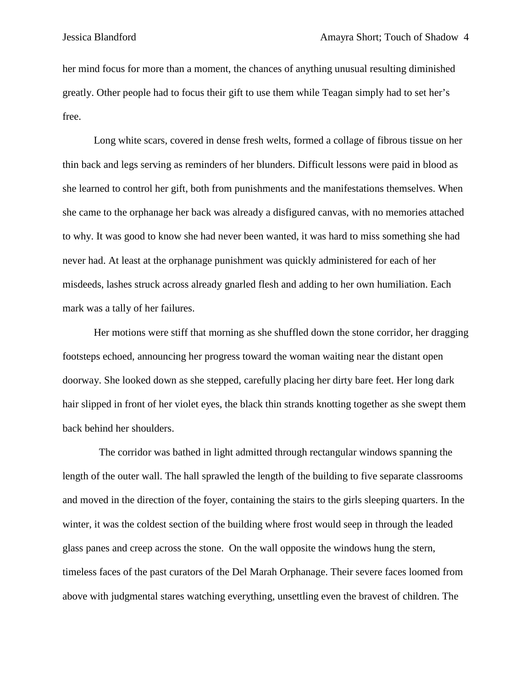her mind focus for more than a moment, the chances of anything unusual resulting diminished greatly. Other people had to focus their gift to use them while Teagan simply had to set her's free.

Long white scars, covered in dense fresh welts, formed a collage of fibrous tissue on her thin back and legs serving as reminders of her blunders. Difficult lessons were paid in blood as she learned to control her gift, both from punishments and the manifestations themselves. When she came to the orphanage her back was already a disfigured canvas, with no memories attached to why. It was good to know she had never been wanted, it was hard to miss something she had never had. At least at the orphanage punishment was quickly administered for each of her misdeeds, lashes struck across already gnarled flesh and adding to her own humiliation. Each mark was a tally of her failures.

Her motions were stiff that morning as she shuffled down the stone corridor, her dragging footsteps echoed, announcing her progress toward the woman waiting near the distant open doorway. She looked down as she stepped, carefully placing her dirty bare feet. Her long dark hair slipped in front of her violet eyes, the black thin strands knotting together as she swept them back behind her shoulders.

 The corridor was bathed in light admitted through rectangular windows spanning the length of the outer wall. The hall sprawled the length of the building to five separate classrooms and moved in the direction of the foyer, containing the stairs to the girls sleeping quarters. In the winter, it was the coldest section of the building where frost would seep in through the leaded glass panes and creep across the stone. On the wall opposite the windows hung the stern, timeless faces of the past curators of the Del Marah Orphanage. Their severe faces loomed from above with judgmental stares watching everything, unsettling even the bravest of children. The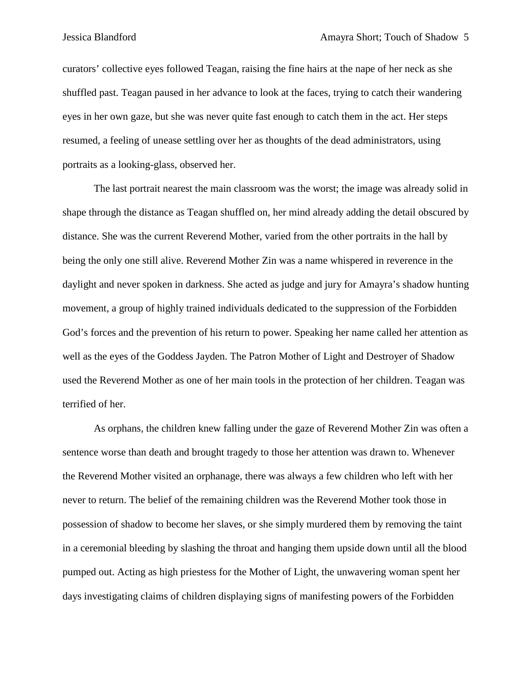curators' collective eyes followed Teagan, raising the fine hairs at the nape of her neck as she shuffled past. Teagan paused in her advance to look at the faces, trying to catch their wandering eyes in her own gaze, but she was never quite fast enough to catch them in the act. Her steps resumed, a feeling of unease settling over her as thoughts of the dead administrators, using portraits as a looking-glass, observed her.

The last portrait nearest the main classroom was the worst; the image was already solid in shape through the distance as Teagan shuffled on, her mind already adding the detail obscured by distance. She was the current Reverend Mother, varied from the other portraits in the hall by being the only one still alive. Reverend Mother Zin was a name whispered in reverence in the daylight and never spoken in darkness. She acted as judge and jury for Amayra's shadow hunting movement, a group of highly trained individuals dedicated to the suppression of the Forbidden God's forces and the prevention of his return to power. Speaking her name called her attention as well as the eyes of the Goddess Jayden. The Patron Mother of Light and Destroyer of Shadow used the Reverend Mother as one of her main tools in the protection of her children. Teagan was terrified of her.

As orphans, the children knew falling under the gaze of Reverend Mother Zin was often a sentence worse than death and brought tragedy to those her attention was drawn to. Whenever the Reverend Mother visited an orphanage, there was always a few children who left with her never to return. The belief of the remaining children was the Reverend Mother took those in possession of shadow to become her slaves, or she simply murdered them by removing the taint in a ceremonial bleeding by slashing the throat and hanging them upside down until all the blood pumped out. Acting as high priestess for the Mother of Light, the unwavering woman spent her days investigating claims of children displaying signs of manifesting powers of the Forbidden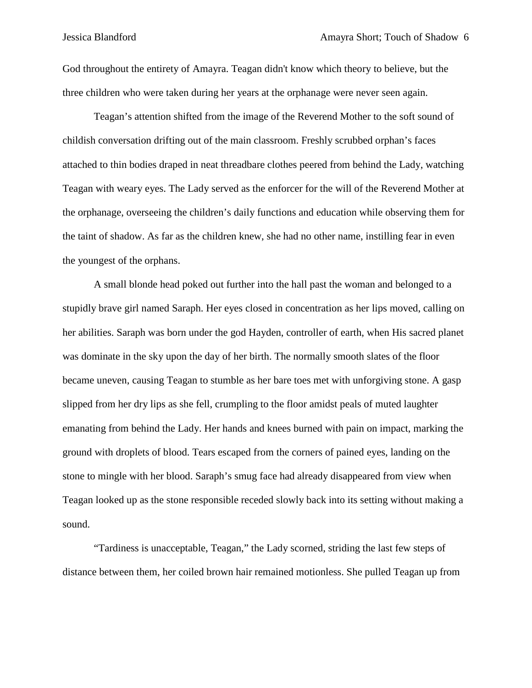God throughout the entirety of Amayra. Teagan didn't know which theory to believe, but the three children who were taken during her years at the orphanage were never seen again.

Teagan's attention shifted from the image of the Reverend Mother to the soft sound of childish conversation drifting out of the main classroom. Freshly scrubbed orphan's faces attached to thin bodies draped in neat threadbare clothes peered from behind the Lady, watching Teagan with weary eyes. The Lady served as the enforcer for the will of the Reverend Mother at the orphanage, overseeing the children's daily functions and education while observing them for the taint of shadow. As far as the children knew, she had no other name, instilling fear in even the youngest of the orphans.

A small blonde head poked out further into the hall past the woman and belonged to a stupidly brave girl named Saraph. Her eyes closed in concentration as her lips moved, calling on her abilities. Saraph was born under the god Hayden, controller of earth, when His sacred planet was dominate in the sky upon the day of her birth. The normally smooth slates of the floor became uneven, causing Teagan to stumble as her bare toes met with unforgiving stone. A gasp slipped from her dry lips as she fell, crumpling to the floor amidst peals of muted laughter emanating from behind the Lady. Her hands and knees burned with pain on impact, marking the ground with droplets of blood. Tears escaped from the corners of pained eyes, landing on the stone to mingle with her blood. Saraph's smug face had already disappeared from view when Teagan looked up as the stone responsible receded slowly back into its setting without making a sound.

"Tardiness is unacceptable, Teagan," the Lady scorned, striding the last few steps of distance between them, her coiled brown hair remained motionless. She pulled Teagan up from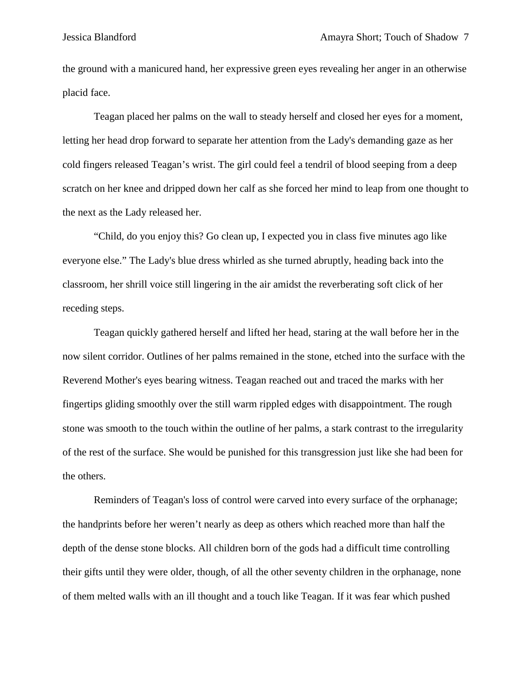the ground with a manicured hand, her expressive green eyes revealing her anger in an otherwise placid face.

Teagan placed her palms on the wall to steady herself and closed her eyes for a moment, letting her head drop forward to separate her attention from the Lady's demanding gaze as her cold fingers released Teagan's wrist. The girl could feel a tendril of blood seeping from a deep scratch on her knee and dripped down her calf as she forced her mind to leap from one thought to the next as the Lady released her.

"Child, do you enjoy this? Go clean up, I expected you in class five minutes ago like everyone else." The Lady's blue dress whirled as she turned abruptly, heading back into the classroom, her shrill voice still lingering in the air amidst the reverberating soft click of her receding steps.

Teagan quickly gathered herself and lifted her head, staring at the wall before her in the now silent corridor. Outlines of her palms remained in the stone, etched into the surface with the Reverend Mother's eyes bearing witness. Teagan reached out and traced the marks with her fingertips gliding smoothly over the still warm rippled edges with disappointment. The rough stone was smooth to the touch within the outline of her palms, a stark contrast to the irregularity of the rest of the surface. She would be punished for this transgression just like she had been for the others.

Reminders of Teagan's loss of control were carved into every surface of the orphanage; the handprints before her weren't nearly as deep as others which reached more than half the depth of the dense stone blocks. All children born of the gods had a difficult time controlling their gifts until they were older, though, of all the other seventy children in the orphanage, none of them melted walls with an ill thought and a touch like Teagan. If it was fear which pushed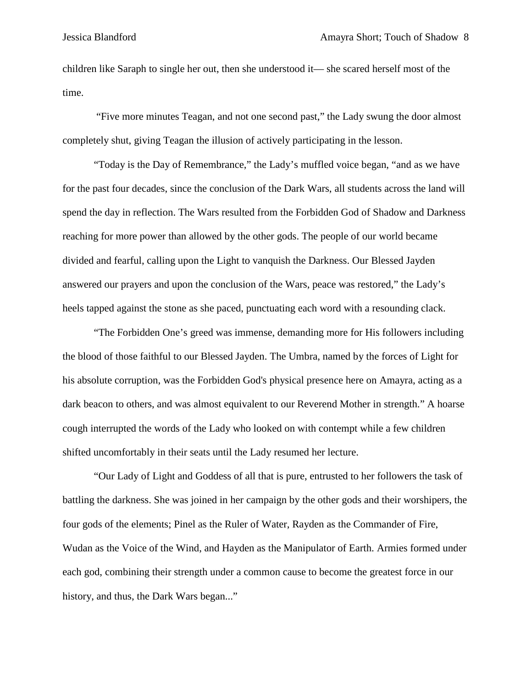children like Saraph to single her out, then she understood it— she scared herself most of the time.

"Five more minutes Teagan, and not one second past," the Lady swung the door almost completely shut, giving Teagan the illusion of actively participating in the lesson.

"Today is the Day of Remembrance," the Lady's muffled voice began, "and as we have for the past four decades, since the conclusion of the Dark Wars, all students across the land will spend the day in reflection. The Wars resulted from the Forbidden God of Shadow and Darkness reaching for more power than allowed by the other gods. The people of our world became divided and fearful, calling upon the Light to vanquish the Darkness. Our Blessed Jayden answered our prayers and upon the conclusion of the Wars, peace was restored," the Lady's heels tapped against the stone as she paced, punctuating each word with a resounding clack.

"The Forbidden One's greed was immense, demanding more for His followers including the blood of those faithful to our Blessed Jayden. The Umbra, named by the forces of Light for his absolute corruption, was the Forbidden God's physical presence here on Amayra, acting as a dark beacon to others, and was almost equivalent to our Reverend Mother in strength." A hoarse cough interrupted the words of the Lady who looked on with contempt while a few children shifted uncomfortably in their seats until the Lady resumed her lecture.

"Our Lady of Light and Goddess of all that is pure, entrusted to her followers the task of battling the darkness. She was joined in her campaign by the other gods and their worshipers, the four gods of the elements; Pinel as the Ruler of Water, Rayden as the Commander of Fire, Wudan as the Voice of the Wind, and Hayden as the Manipulator of Earth. Armies formed under each god, combining their strength under a common cause to become the greatest force in our history, and thus, the Dark Wars began..."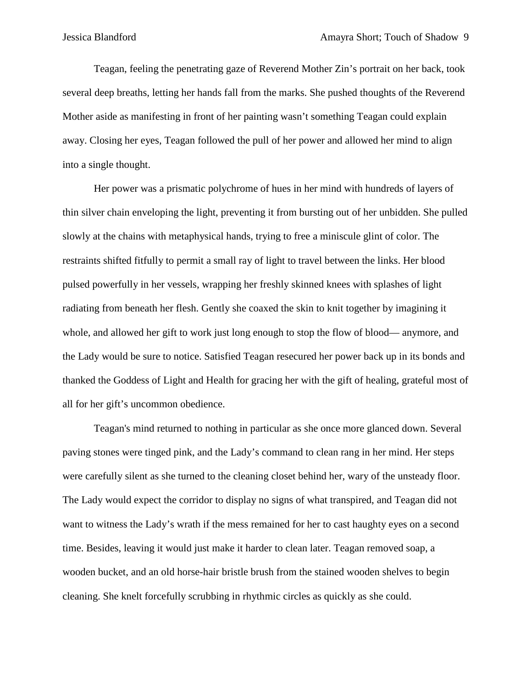Teagan, feeling the penetrating gaze of Reverend Mother Zin's portrait on her back, took several deep breaths, letting her hands fall from the marks. She pushed thoughts of the Reverend Mother aside as manifesting in front of her painting wasn't something Teagan could explain away. Closing her eyes, Teagan followed the pull of her power and allowed her mind to align into a single thought.

Her power was a prismatic polychrome of hues in her mind with hundreds of layers of thin silver chain enveloping the light, preventing it from bursting out of her unbidden. She pulled slowly at the chains with metaphysical hands, trying to free a miniscule glint of color. The restraints shifted fitfully to permit a small ray of light to travel between the links. Her blood pulsed powerfully in her vessels, wrapping her freshly skinned knees with splashes of light radiating from beneath her flesh. Gently she coaxed the skin to knit together by imagining it whole, and allowed her gift to work just long enough to stop the flow of blood— anymore, and the Lady would be sure to notice. Satisfied Teagan resecured her power back up in its bonds and thanked the Goddess of Light and Health for gracing her with the gift of healing, grateful most of all for her gift's uncommon obedience.

Teagan's mind returned to nothing in particular as she once more glanced down. Several paving stones were tinged pink, and the Lady's command to clean rang in her mind. Her steps were carefully silent as she turned to the cleaning closet behind her, wary of the unsteady floor. The Lady would expect the corridor to display no signs of what transpired, and Teagan did not want to witness the Lady's wrath if the mess remained for her to cast haughty eyes on a second time. Besides, leaving it would just make it harder to clean later. Teagan removed soap, a wooden bucket, and an old horse-hair bristle brush from the stained wooden shelves to begin cleaning. She knelt forcefully scrubbing in rhythmic circles as quickly as she could.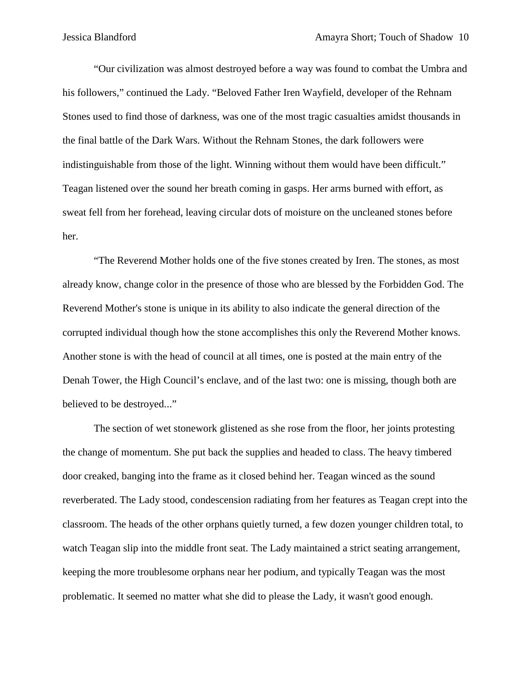"Our civilization was almost destroyed before a way was found to combat the Umbra and his followers," continued the Lady. "Beloved Father Iren Wayfield, developer of the Rehnam Stones used to find those of darkness, was one of the most tragic casualties amidst thousands in the final battle of the Dark Wars. Without the Rehnam Stones, the dark followers were indistinguishable from those of the light. Winning without them would have been difficult." Teagan listened over the sound her breath coming in gasps. Her arms burned with effort, as sweat fell from her forehead, leaving circular dots of moisture on the uncleaned stones before her.

"The Reverend Mother holds one of the five stones created by Iren. The stones, as most already know, change color in the presence of those who are blessed by the Forbidden God. The Reverend Mother's stone is unique in its ability to also indicate the general direction of the corrupted individual though how the stone accomplishes this only the Reverend Mother knows. Another stone is with the head of council at all times, one is posted at the main entry of the Denah Tower, the High Council's enclave, and of the last two: one is missing, though both are believed to be destroyed..."

The section of wet stonework glistened as she rose from the floor, her joints protesting the change of momentum. She put back the supplies and headed to class. The heavy timbered door creaked, banging into the frame as it closed behind her. Teagan winced as the sound reverberated. The Lady stood, condescension radiating from her features as Teagan crept into the classroom. The heads of the other orphans quietly turned, a few dozen younger children total, to watch Teagan slip into the middle front seat. The Lady maintained a strict seating arrangement, keeping the more troublesome orphans near her podium, and typically Teagan was the most problematic. It seemed no matter what she did to please the Lady, it wasn't good enough.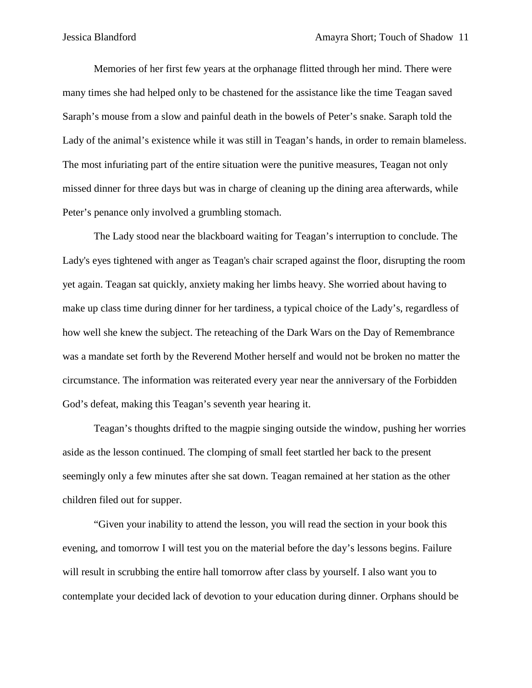Memories of her first few years at the orphanage flitted through her mind. There were many times she had helped only to be chastened for the assistance like the time Teagan saved Saraph's mouse from a slow and painful death in the bowels of Peter's snake. Saraph told the Lady of the animal's existence while it was still in Teagan's hands, in order to remain blameless. The most infuriating part of the entire situation were the punitive measures, Teagan not only missed dinner for three days but was in charge of cleaning up the dining area afterwards, while Peter's penance only involved a grumbling stomach.

The Lady stood near the blackboard waiting for Teagan's interruption to conclude. The Lady's eyes tightened with anger as Teagan's chair scraped against the floor, disrupting the room yet again. Teagan sat quickly, anxiety making her limbs heavy. She worried about having to make up class time during dinner for her tardiness, a typical choice of the Lady's, regardless of how well she knew the subject. The reteaching of the Dark Wars on the Day of Remembrance was a mandate set forth by the Reverend Mother herself and would not be broken no matter the circumstance. The information was reiterated every year near the anniversary of the Forbidden God's defeat, making this Teagan's seventh year hearing it.

Teagan's thoughts drifted to the magpie singing outside the window, pushing her worries aside as the lesson continued. The clomping of small feet startled her back to the present seemingly only a few minutes after she sat down. Teagan remained at her station as the other children filed out for supper.

"Given your inability to attend the lesson, you will read the section in your book this evening, and tomorrow I will test you on the material before the day's lessons begins. Failure will result in scrubbing the entire hall tomorrow after class by yourself. I also want you to contemplate your decided lack of devotion to your education during dinner. Orphans should be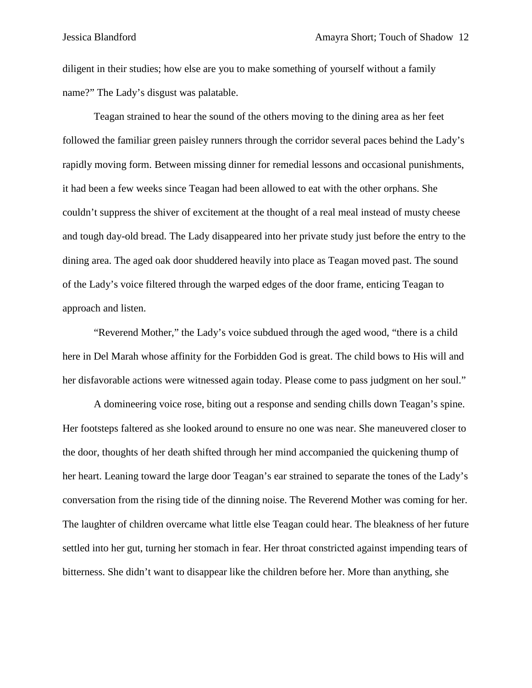diligent in their studies; how else are you to make something of yourself without a family name?" The Lady's disgust was palatable.

Teagan strained to hear the sound of the others moving to the dining area as her feet followed the familiar green paisley runners through the corridor several paces behind the Lady's rapidly moving form. Between missing dinner for remedial lessons and occasional punishments, it had been a few weeks since Teagan had been allowed to eat with the other orphans. She couldn't suppress the shiver of excitement at the thought of a real meal instead of musty cheese and tough day-old bread. The Lady disappeared into her private study just before the entry to the dining area. The aged oak door shuddered heavily into place as Teagan moved past. The sound of the Lady's voice filtered through the warped edges of the door frame, enticing Teagan to approach and listen.

"Reverend Mother," the Lady's voice subdued through the aged wood, "there is a child here in Del Marah whose affinity for the Forbidden God is great. The child bows to His will and her disfavorable actions were witnessed again today. Please come to pass judgment on her soul."

A domineering voice rose, biting out a response and sending chills down Teagan's spine. Her footsteps faltered as she looked around to ensure no one was near. She maneuvered closer to the door, thoughts of her death shifted through her mind accompanied the quickening thump of her heart. Leaning toward the large door Teagan's ear strained to separate the tones of the Lady's conversation from the rising tide of the dinning noise. The Reverend Mother was coming for her. The laughter of children overcame what little else Teagan could hear. The bleakness of her future settled into her gut, turning her stomach in fear. Her throat constricted against impending tears of bitterness. She didn't want to disappear like the children before her. More than anything, she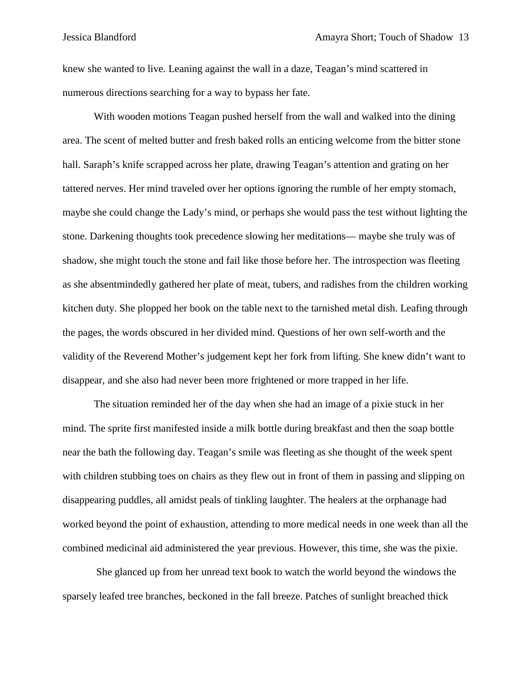knew she wanted to live. Leaning against the wall in a daze, Teagan's mind scattered in numerous directions searching for a way to bypass her fate.

With wooden motions Teagan pushed herself from the wall and walked into the dining area. The scent of melted butter and fresh baked rolls an enticing welcome from the bitter stone hall. Saraph's knife scrapped across her plate, drawing Teagan's attention and grating on her tattered nerves. Her mind traveled over her options ignoring the rumble of her empty stomach, maybe she could change the Lady's mind, or perhaps she would pass the test without lighting the stone. Darkening thoughts took precedence slowing her meditations— maybe she truly was of shadow, she might touch the stone and fail like those before her. The introspection was fleeting as she absentmindedly gathered her plate of meat, tubers, and radishes from the children working kitchen duty. She plopped her book on the table next to the tarnished metal dish. Leafing through the pages, the words obscured in her divided mind. Questions of her own self-worth and the validity of the Reverend Mother's judgement kept her fork from lifting. She knew didn't want to disappear, and she also had never been more frightened or more trapped in her life.

The situation reminded her of the day when she had an image of a pixie stuck in her mind. The sprite first manifested inside a milk bottle during breakfast and then the soap bottle near the bath the following day. Teagan's smile was fleeting as she thought of the week spent with children stubbing toes on chairs as they flew out in front of them in passing and slipping on disappearing puddles, all amidst peals of tinkling laughter. The healers at the orphanage had worked beyond the point of exhaustion, attending to more medical needs in one week than all the combined medicinal aid administered the year previous. However, this time, she was the pixie.

She glanced up from her unread text book to watch the world beyond the windows the sparsely leafed tree branches, beckoned in the fall breeze. Patches of sunlight breached thick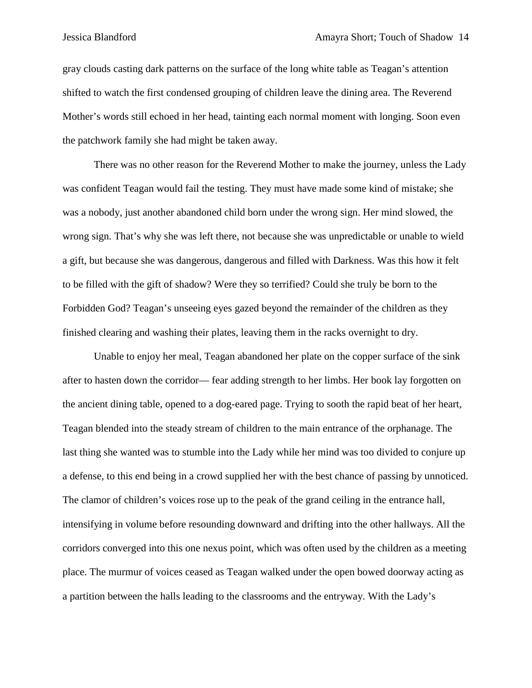gray clouds casting dark patterns on the surface of the long white table as Teagan's attention shifted to watch the first condensed grouping of children leave the dining area. The Reverend Mother's words still echoed in her head, tainting each normal moment with longing. Soon even the patchwork family she had might be taken away.

There was no other reason for the Reverend Mother to make the journey, unless the Lady was confident Teagan would fail the testing. They must have made some kind of mistake; she was a nobody, just another abandoned child born under the wrong sign. Her mind slowed, the wrong sign. That's why she was left there, not because she was unpredictable or unable to wield a gift, but because she was dangerous, dangerous and filled with Darkness. Was this how it felt to be filled with the gift of shadow? Were they so terrified? Could she truly be born to the Forbidden God? Teagan's unseeing eyes gazed beyond the remainder of the children as they finished clearing and washing their plates, leaving them in the racks overnight to dry.

Unable to enjoy her meal, Teagan abandoned her plate on the copper surface of the sink after to hasten down the corridor— fear adding strength to her limbs. Her book lay forgotten on the ancient dining table, opened to a dog-eared page. Trying to sooth the rapid beat of her heart, Teagan blended into the steady stream of children to the main entrance of the orphanage. The last thing she wanted was to stumble into the Lady while her mind was too divided to conjure up a defense, to this end being in a crowd supplied her with the best chance of passing by unnoticed. The clamor of children's voices rose up to the peak of the grand ceiling in the entrance hall, intensifying in volume before resounding downward and drifting into the other hallways. All the corridors converged into this one nexus point, which was often used by the children as a meeting place. The murmur of voices ceased as Teagan walked under the open bowed doorway acting as a partition between the halls leading to the classrooms and the entryway. With the Lady's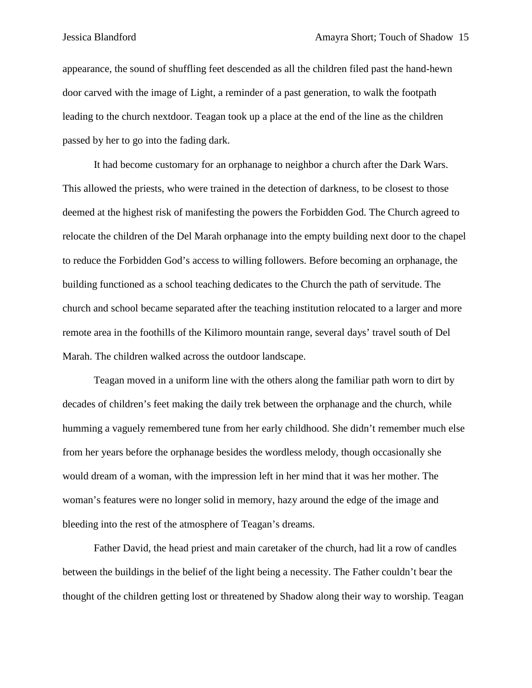appearance, the sound of shuffling feet descended as all the children filed past the hand-hewn door carved with the image of Light, a reminder of a past generation, to walk the footpath leading to the church nextdoor. Teagan took up a place at the end of the line as the children passed by her to go into the fading dark.

It had become customary for an orphanage to neighbor a church after the Dark Wars. This allowed the priests, who were trained in the detection of darkness, to be closest to those deemed at the highest risk of manifesting the powers the Forbidden God. The Church agreed to relocate the children of the Del Marah orphanage into the empty building next door to the chapel to reduce the Forbidden God's access to willing followers. Before becoming an orphanage, the building functioned as a school teaching dedicates to the Church the path of servitude. The church and school became separated after the teaching institution relocated to a larger and more remote area in the foothills of the Kilimoro mountain range, several days' travel south of Del Marah. The children walked across the outdoor landscape.

Teagan moved in a uniform line with the others along the familiar path worn to dirt by decades of children's feet making the daily trek between the orphanage and the church, while humming a vaguely remembered tune from her early childhood. She didn't remember much else from her years before the orphanage besides the wordless melody, though occasionally she would dream of a woman, with the impression left in her mind that it was her mother. The woman's features were no longer solid in memory, hazy around the edge of the image and bleeding into the rest of the atmosphere of Teagan's dreams.

Father David, the head priest and main caretaker of the church, had lit a row of candles between the buildings in the belief of the light being a necessity. The Father couldn't bear the thought of the children getting lost or threatened by Shadow along their way to worship. Teagan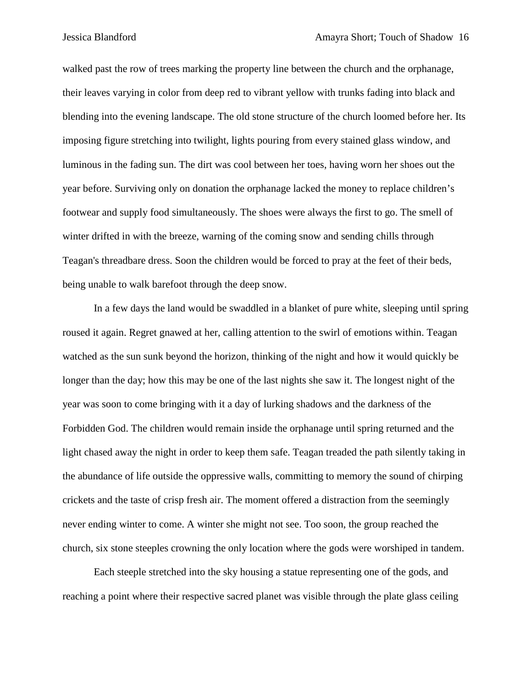walked past the row of trees marking the property line between the church and the orphanage, their leaves varying in color from deep red to vibrant yellow with trunks fading into black and blending into the evening landscape. The old stone structure of the church loomed before her. Its imposing figure stretching into twilight, lights pouring from every stained glass window, and luminous in the fading sun. The dirt was cool between her toes, having worn her shoes out the year before. Surviving only on donation the orphanage lacked the money to replace children's footwear and supply food simultaneously. The shoes were always the first to go. The smell of winter drifted in with the breeze, warning of the coming snow and sending chills through Teagan's threadbare dress. Soon the children would be forced to pray at the feet of their beds, being unable to walk barefoot through the deep snow.

In a few days the land would be swaddled in a blanket of pure white, sleeping until spring roused it again. Regret gnawed at her, calling attention to the swirl of emotions within. Teagan watched as the sun sunk beyond the horizon, thinking of the night and how it would quickly be longer than the day; how this may be one of the last nights she saw it. The longest night of the year was soon to come bringing with it a day of lurking shadows and the darkness of the Forbidden God. The children would remain inside the orphanage until spring returned and the light chased away the night in order to keep them safe. Teagan treaded the path silently taking in the abundance of life outside the oppressive walls, committing to memory the sound of chirping crickets and the taste of crisp fresh air. The moment offered a distraction from the seemingly never ending winter to come. A winter she might not see. Too soon, the group reached the church, six stone steeples crowning the only location where the gods were worshiped in tandem.

Each steeple stretched into the sky housing a statue representing one of the gods, and reaching a point where their respective sacred planet was visible through the plate glass ceiling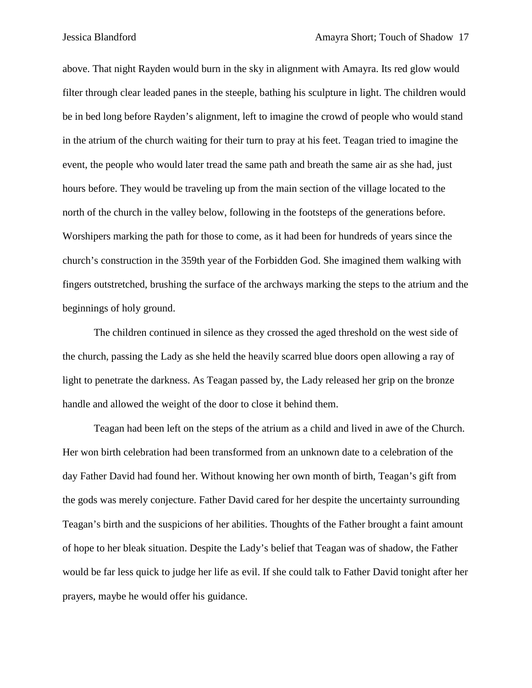above. That night Rayden would burn in the sky in alignment with Amayra. Its red glow would filter through clear leaded panes in the steeple, bathing his sculpture in light. The children would be in bed long before Rayden's alignment, left to imagine the crowd of people who would stand in the atrium of the church waiting for their turn to pray at his feet. Teagan tried to imagine the event, the people who would later tread the same path and breath the same air as she had, just hours before. They would be traveling up from the main section of the village located to the north of the church in the valley below, following in the footsteps of the generations before. Worshipers marking the path for those to come, as it had been for hundreds of years since the church's construction in the 359th year of the Forbidden God. She imagined them walking with fingers outstretched, brushing the surface of the archways marking the steps to the atrium and the beginnings of holy ground.

The children continued in silence as they crossed the aged threshold on the west side of the church, passing the Lady as she held the heavily scarred blue doors open allowing a ray of light to penetrate the darkness. As Teagan passed by, the Lady released her grip on the bronze handle and allowed the weight of the door to close it behind them.

Teagan had been left on the steps of the atrium as a child and lived in awe of the Church. Her won birth celebration had been transformed from an unknown date to a celebration of the day Father David had found her. Without knowing her own month of birth, Teagan's gift from the gods was merely conjecture. Father David cared for her despite the uncertainty surrounding Teagan's birth and the suspicions of her abilities. Thoughts of the Father brought a faint amount of hope to her bleak situation. Despite the Lady's belief that Teagan was of shadow, the Father would be far less quick to judge her life as evil. If she could talk to Father David tonight after her prayers, maybe he would offer his guidance.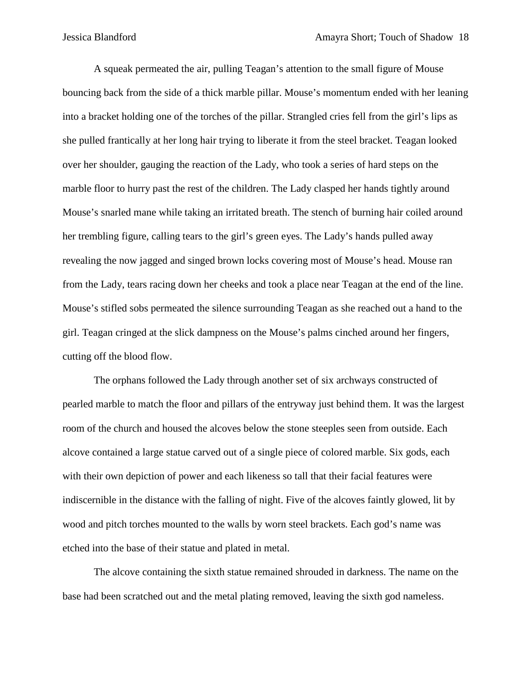A squeak permeated the air, pulling Teagan's attention to the small figure of Mouse bouncing back from the side of a thick marble pillar. Mouse's momentum ended with her leaning into a bracket holding one of the torches of the pillar. Strangled cries fell from the girl's lips as she pulled frantically at her long hair trying to liberate it from the steel bracket. Teagan looked over her shoulder, gauging the reaction of the Lady, who took a series of hard steps on the marble floor to hurry past the rest of the children. The Lady clasped her hands tightly around Mouse's snarled mane while taking an irritated breath. The stench of burning hair coiled around her trembling figure, calling tears to the girl's green eyes. The Lady's hands pulled away revealing the now jagged and singed brown locks covering most of Mouse's head. Mouse ran from the Lady, tears racing down her cheeks and took a place near Teagan at the end of the line. Mouse's stifled sobs permeated the silence surrounding Teagan as she reached out a hand to the girl. Teagan cringed at the slick dampness on the Mouse's palms cinched around her fingers, cutting off the blood flow.

The orphans followed the Lady through another set of six archways constructed of pearled marble to match the floor and pillars of the entryway just behind them. It was the largest room of the church and housed the alcoves below the stone steeples seen from outside. Each alcove contained a large statue carved out of a single piece of colored marble. Six gods, each with their own depiction of power and each likeness so tall that their facial features were indiscernible in the distance with the falling of night. Five of the alcoves faintly glowed, lit by wood and pitch torches mounted to the walls by worn steel brackets. Each god's name was etched into the base of their statue and plated in metal.

The alcove containing the sixth statue remained shrouded in darkness. The name on the base had been scratched out and the metal plating removed, leaving the sixth god nameless.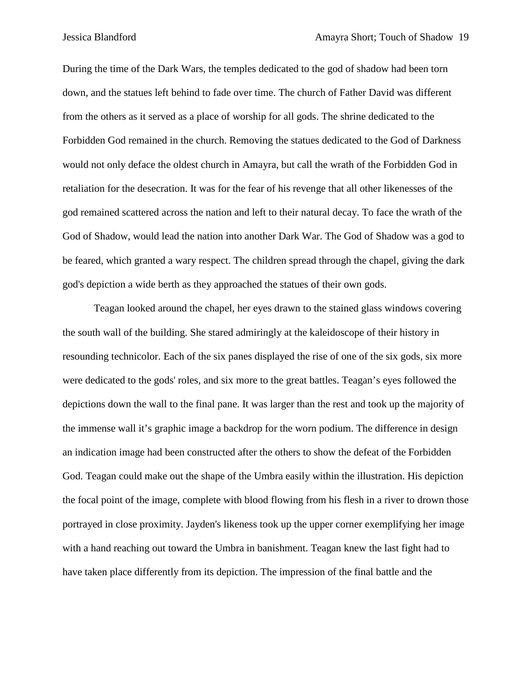During the time of the Dark Wars, the temples dedicated to the god of shadow had been torn down, and the statues left behind to fade over time. The church of Father David was different from the others as it served as a place of worship for all gods. The shrine dedicated to the Forbidden God remained in the church. Removing the statues dedicated to the God of Darkness would not only deface the oldest church in Amayra, but call the wrath of the Forbidden God in retaliation for the desecration. It was for the fear of his revenge that all other likenesses of the god remained scattered across the nation and left to their natural decay. To face the wrath of the God of Shadow, would lead the nation into another Dark War. The God of Shadow was a god to be feared, which granted a wary respect. The children spread through the chapel, giving the dark god's depiction a wide berth as they approached the statues of their own gods.

Teagan looked around the chapel, her eyes drawn to the stained glass windows covering the south wall of the building. She stared admiringly at the kaleidoscope of their history in resounding technicolor. Each of the six panes displayed the rise of one of the six gods, six more were dedicated to the gods' roles, and six more to the great battles. Teagan's eyes followed the depictions down the wall to the final pane. It was larger than the rest and took up the majority of the immense wall it's graphic image a backdrop for the worn podium. The difference in design an indication image had been constructed after the others to show the defeat of the Forbidden God. Teagan could make out the shape of the Umbra easily within the illustration. His depiction the focal point of the image, complete with blood flowing from his flesh in a river to drown those portrayed in close proximity. Jayden's likeness took up the upper corner exemplifying her image with a hand reaching out toward the Umbra in banishment. Teagan knew the last fight had to have taken place differently from its depiction. The impression of the final battle and the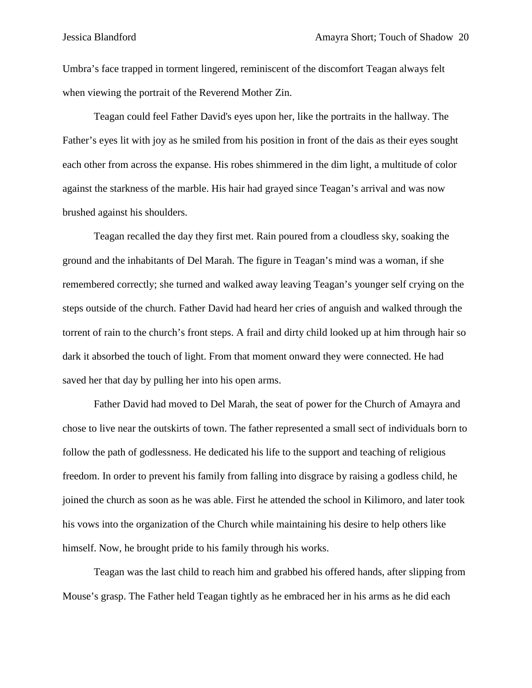Umbra's face trapped in torment lingered, reminiscent of the discomfort Teagan always felt when viewing the portrait of the Reverend Mother Zin.

Teagan could feel Father David's eyes upon her, like the portraits in the hallway. The Father's eyes lit with joy as he smiled from his position in front of the dais as their eyes sought each other from across the expanse. His robes shimmered in the dim light, a multitude of color against the starkness of the marble. His hair had grayed since Teagan's arrival and was now brushed against his shoulders.

Teagan recalled the day they first met. Rain poured from a cloudless sky, soaking the ground and the inhabitants of Del Marah. The figure in Teagan's mind was a woman, if she remembered correctly; she turned and walked away leaving Teagan's younger self crying on the steps outside of the church. Father David had heard her cries of anguish and walked through the torrent of rain to the church's front steps. A frail and dirty child looked up at him through hair so dark it absorbed the touch of light. From that moment onward they were connected. He had saved her that day by pulling her into his open arms.

Father David had moved to Del Marah, the seat of power for the Church of Amayra and chose to live near the outskirts of town. The father represented a small sect of individuals born to follow the path of godlessness. He dedicated his life to the support and teaching of religious freedom. In order to prevent his family from falling into disgrace by raising a godless child, he joined the church as soon as he was able. First he attended the school in Kilimoro, and later took his vows into the organization of the Church while maintaining his desire to help others like himself. Now, he brought pride to his family through his works.

Teagan was the last child to reach him and grabbed his offered hands, after slipping from Mouse's grasp. The Father held Teagan tightly as he embraced her in his arms as he did each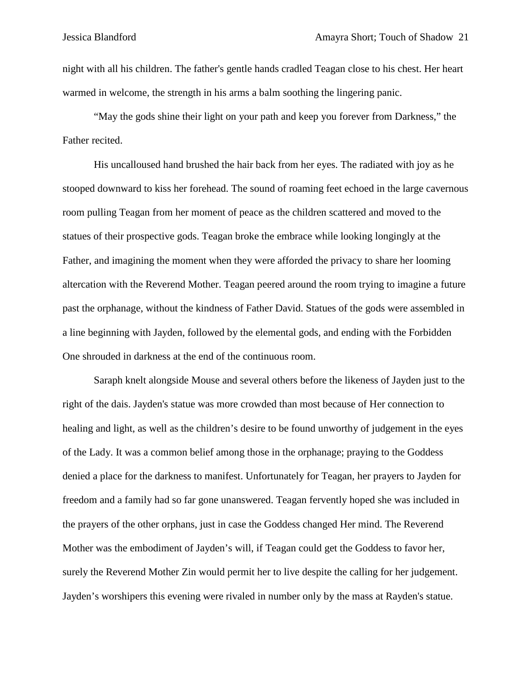night with all his children. The father's gentle hands cradled Teagan close to his chest. Her heart warmed in welcome, the strength in his arms a balm soothing the lingering panic.

"May the gods shine their light on your path and keep you forever from Darkness," the Father recited.

His uncalloused hand brushed the hair back from her eyes. The radiated with joy as he stooped downward to kiss her forehead. The sound of roaming feet echoed in the large cavernous room pulling Teagan from her moment of peace as the children scattered and moved to the statues of their prospective gods. Teagan broke the embrace while looking longingly at the Father, and imagining the moment when they were afforded the privacy to share her looming altercation with the Reverend Mother. Teagan peered around the room trying to imagine a future past the orphanage, without the kindness of Father David. Statues of the gods were assembled in a line beginning with Jayden, followed by the elemental gods, and ending with the Forbidden One shrouded in darkness at the end of the continuous room.

Saraph knelt alongside Mouse and several others before the likeness of Jayden just to the right of the dais. Jayden's statue was more crowded than most because of Her connection to healing and light, as well as the children's desire to be found unworthy of judgement in the eyes of the Lady. It was a common belief among those in the orphanage; praying to the Goddess denied a place for the darkness to manifest. Unfortunately for Teagan, her prayers to Jayden for freedom and a family had so far gone unanswered. Teagan fervently hoped she was included in the prayers of the other orphans, just in case the Goddess changed Her mind. The Reverend Mother was the embodiment of Jayden's will, if Teagan could get the Goddess to favor her, surely the Reverend Mother Zin would permit her to live despite the calling for her judgement. Jayden's worshipers this evening were rivaled in number only by the mass at Rayden's statue.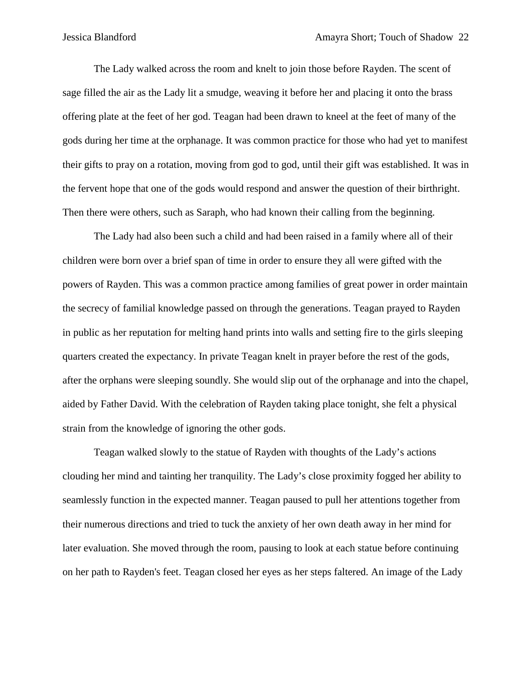The Lady walked across the room and knelt to join those before Rayden. The scent of sage filled the air as the Lady lit a smudge, weaving it before her and placing it onto the brass offering plate at the feet of her god. Teagan had been drawn to kneel at the feet of many of the gods during her time at the orphanage. It was common practice for those who had yet to manifest their gifts to pray on a rotation, moving from god to god, until their gift was established. It was in the fervent hope that one of the gods would respond and answer the question of their birthright. Then there were others, such as Saraph, who had known their calling from the beginning.

The Lady had also been such a child and had been raised in a family where all of their children were born over a brief span of time in order to ensure they all were gifted with the powers of Rayden. This was a common practice among families of great power in order maintain the secrecy of familial knowledge passed on through the generations. Teagan prayed to Rayden in public as her reputation for melting hand prints into walls and setting fire to the girls sleeping quarters created the expectancy. In private Teagan knelt in prayer before the rest of the gods, after the orphans were sleeping soundly. She would slip out of the orphanage and into the chapel, aided by Father David. With the celebration of Rayden taking place tonight, she felt a physical strain from the knowledge of ignoring the other gods.

Teagan walked slowly to the statue of Rayden with thoughts of the Lady's actions clouding her mind and tainting her tranquility. The Lady's close proximity fogged her ability to seamlessly function in the expected manner. Teagan paused to pull her attentions together from their numerous directions and tried to tuck the anxiety of her own death away in her mind for later evaluation. She moved through the room, pausing to look at each statue before continuing on her path to Rayden's feet. Teagan closed her eyes as her steps faltered. An image of the Lady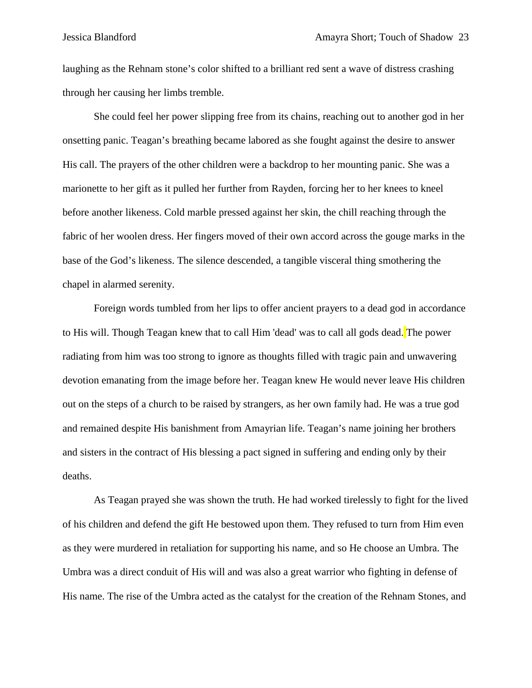laughing as the Rehnam stone's color shifted to a brilliant red sent a wave of distress crashing through her causing her limbs tremble.

She could feel her power slipping free from its chains, reaching out to another god in her onsetting panic. Teagan's breathing became labored as she fought against the desire to answer His call. The prayers of the other children were a backdrop to her mounting panic. She was a marionette to her gift as it pulled her further from Rayden, forcing her to her knees to kneel before another likeness. Cold marble pressed against her skin, the chill reaching through the fabric of her woolen dress. Her fingers moved of their own accord across the gouge marks in the base of the God's likeness. The silence descended, a tangible visceral thing smothering the chapel in alarmed serenity.

Foreign words tumbled from her lips to offer ancient prayers to a dead god in accordance to His will. Though Teagan knew that to call Him 'dead' was to call all gods dead. The power radiating from him was too strong to ignore as thoughts filled with tragic pain and unwavering devotion emanating from the image before her. Teagan knew He would never leave His children out on the steps of a church to be raised by strangers, as her own family had. He was a true god and remained despite His banishment from Amayrian life. Teagan's name joining her brothers and sisters in the contract of His blessing a pact signed in suffering and ending only by their deaths.

As Teagan prayed she was shown the truth. He had worked tirelessly to fight for the lived of his children and defend the gift He bestowed upon them. They refused to turn from Him even as they were murdered in retaliation for supporting his name, and so He choose an Umbra. The Umbra was a direct conduit of His will and was also a great warrior who fighting in defense of His name. The rise of the Umbra acted as the catalyst for the creation of the Rehnam Stones, and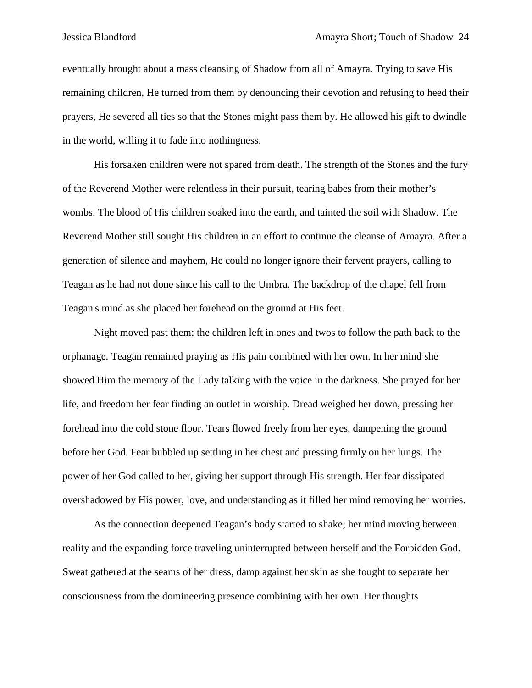eventually brought about a mass cleansing of Shadow from all of Amayra. Trying to save His remaining children, He turned from them by denouncing their devotion and refusing to heed their prayers, He severed all ties so that the Stones might pass them by. He allowed his gift to dwindle in the world, willing it to fade into nothingness.

His forsaken children were not spared from death. The strength of the Stones and the fury of the Reverend Mother were relentless in their pursuit, tearing babes from their mother's wombs. The blood of His children soaked into the earth, and tainted the soil with Shadow. The Reverend Mother still sought His children in an effort to continue the cleanse of Amayra. After a generation of silence and mayhem, He could no longer ignore their fervent prayers, calling to Teagan as he had not done since his call to the Umbra. The backdrop of the chapel fell from Teagan's mind as she placed her forehead on the ground at His feet.

Night moved past them; the children left in ones and twos to follow the path back to the orphanage. Teagan remained praying as His pain combined with her own. In her mind she showed Him the memory of the Lady talking with the voice in the darkness. She prayed for her life, and freedom her fear finding an outlet in worship. Dread weighed her down, pressing her forehead into the cold stone floor. Tears flowed freely from her eyes, dampening the ground before her God. Fear bubbled up settling in her chest and pressing firmly on her lungs. The power of her God called to her, giving her support through His strength. Her fear dissipated overshadowed by His power, love, and understanding as it filled her mind removing her worries.

As the connection deepened Teagan's body started to shake; her mind moving between reality and the expanding force traveling uninterrupted between herself and the Forbidden God. Sweat gathered at the seams of her dress, damp against her skin as she fought to separate her consciousness from the domineering presence combining with her own. Her thoughts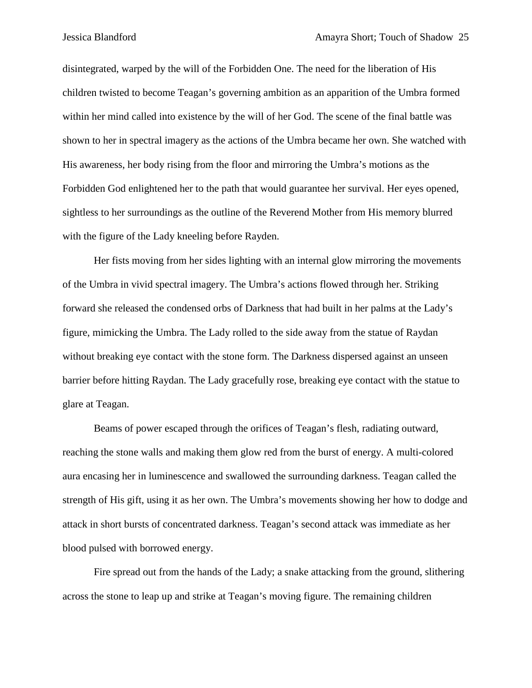disintegrated, warped by the will of the Forbidden One. The need for the liberation of His children twisted to become Teagan's governing ambition as an apparition of the Umbra formed within her mind called into existence by the will of her God. The scene of the final battle was shown to her in spectral imagery as the actions of the Umbra became her own. She watched with His awareness, her body rising from the floor and mirroring the Umbra's motions as the Forbidden God enlightened her to the path that would guarantee her survival. Her eyes opened, sightless to her surroundings as the outline of the Reverend Mother from His memory blurred with the figure of the Lady kneeling before Rayden.

Her fists moving from her sides lighting with an internal glow mirroring the movements of the Umbra in vivid spectral imagery. The Umbra's actions flowed through her. Striking forward she released the condensed orbs of Darkness that had built in her palms at the Lady's figure, mimicking the Umbra. The Lady rolled to the side away from the statue of Raydan without breaking eye contact with the stone form. The Darkness dispersed against an unseen barrier before hitting Raydan. The Lady gracefully rose, breaking eye contact with the statue to glare at Teagan.

Beams of power escaped through the orifices of Teagan's flesh, radiating outward, reaching the stone walls and making them glow red from the burst of energy. A multi-colored aura encasing her in luminescence and swallowed the surrounding darkness. Teagan called the strength of His gift, using it as her own. The Umbra's movements showing her how to dodge and attack in short bursts of concentrated darkness. Teagan's second attack was immediate as her blood pulsed with borrowed energy.

Fire spread out from the hands of the Lady; a snake attacking from the ground, slithering across the stone to leap up and strike at Teagan's moving figure. The remaining children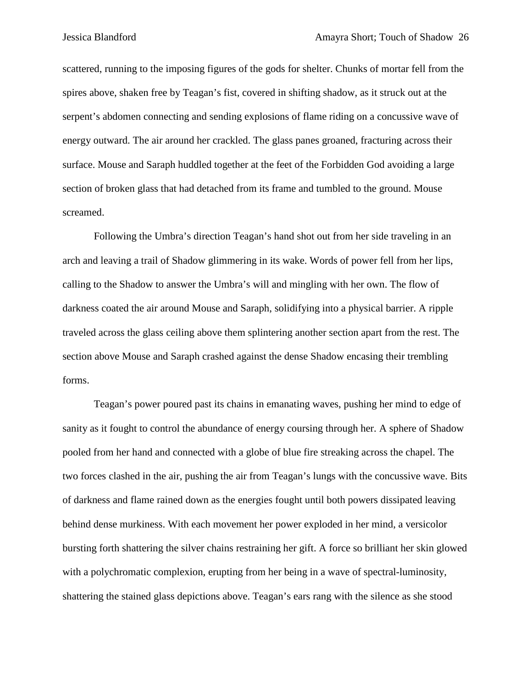scattered, running to the imposing figures of the gods for shelter. Chunks of mortar fell from the spires above, shaken free by Teagan's fist, covered in shifting shadow, as it struck out at the serpent's abdomen connecting and sending explosions of flame riding on a concussive wave of energy outward. The air around her crackled. The glass panes groaned, fracturing across their surface. Mouse and Saraph huddled together at the feet of the Forbidden God avoiding a large section of broken glass that had detached from its frame and tumbled to the ground. Mouse screamed.

Following the Umbra's direction Teagan's hand shot out from her side traveling in an arch and leaving a trail of Shadow glimmering in its wake. Words of power fell from her lips, calling to the Shadow to answer the Umbra's will and mingling with her own. The flow of darkness coated the air around Mouse and Saraph, solidifying into a physical barrier. A ripple traveled across the glass ceiling above them splintering another section apart from the rest. The section above Mouse and Saraph crashed against the dense Shadow encasing their trembling forms.

Teagan's power poured past its chains in emanating waves, pushing her mind to edge of sanity as it fought to control the abundance of energy coursing through her. A sphere of Shadow pooled from her hand and connected with a globe of blue fire streaking across the chapel. The two forces clashed in the air, pushing the air from Teagan's lungs with the concussive wave. Bits of darkness and flame rained down as the energies fought until both powers dissipated leaving behind dense murkiness. With each movement her power exploded in her mind, a versicolor bursting forth shattering the silver chains restraining her gift. A force so brilliant her skin glowed with a polychromatic complexion, erupting from her being in a wave of spectral-luminosity, shattering the stained glass depictions above. Teagan's ears rang with the silence as she stood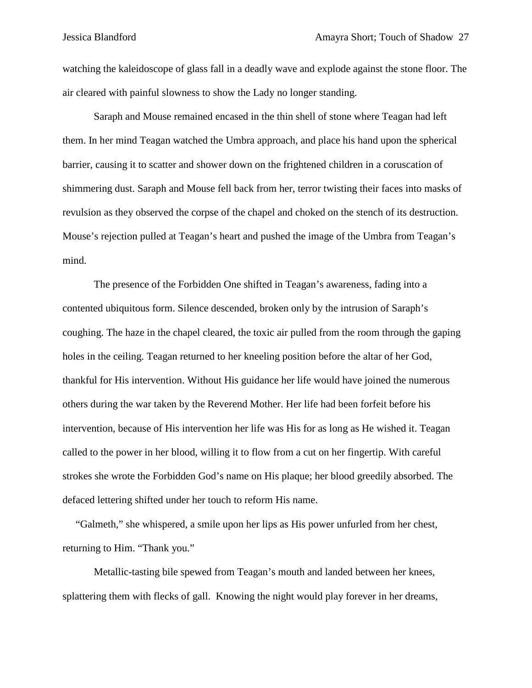watching the kaleidoscope of glass fall in a deadly wave and explode against the stone floor. The air cleared with painful slowness to show the Lady no longer standing.

Saraph and Mouse remained encased in the thin shell of stone where Teagan had left them. In her mind Teagan watched the Umbra approach, and place his hand upon the spherical barrier, causing it to scatter and shower down on the frightened children in a coruscation of shimmering dust. Saraph and Mouse fell back from her, terror twisting their faces into masks of revulsion as they observed the corpse of the chapel and choked on the stench of its destruction. Mouse's rejection pulled at Teagan's heart and pushed the image of the Umbra from Teagan's mind.

The presence of the Forbidden One shifted in Teagan's awareness, fading into a contented ubiquitous form. Silence descended, broken only by the intrusion of Saraph's coughing. The haze in the chapel cleared, the toxic air pulled from the room through the gaping holes in the ceiling. Teagan returned to her kneeling position before the altar of her God, thankful for His intervention. Without His guidance her life would have joined the numerous others during the war taken by the Reverend Mother. Her life had been forfeit before his intervention, because of His intervention her life was His for as long as He wished it. Teagan called to the power in her blood, willing it to flow from a cut on her fingertip. With careful strokes she wrote the Forbidden God's name on His plaque; her blood greedily absorbed. The defaced lettering shifted under her touch to reform His name.

 "Galmeth," she whispered, a smile upon her lips as His power unfurled from her chest, returning to Him. "Thank you."

Metallic-tasting bile spewed from Teagan's mouth and landed between her knees, splattering them with flecks of gall. Knowing the night would play forever in her dreams,